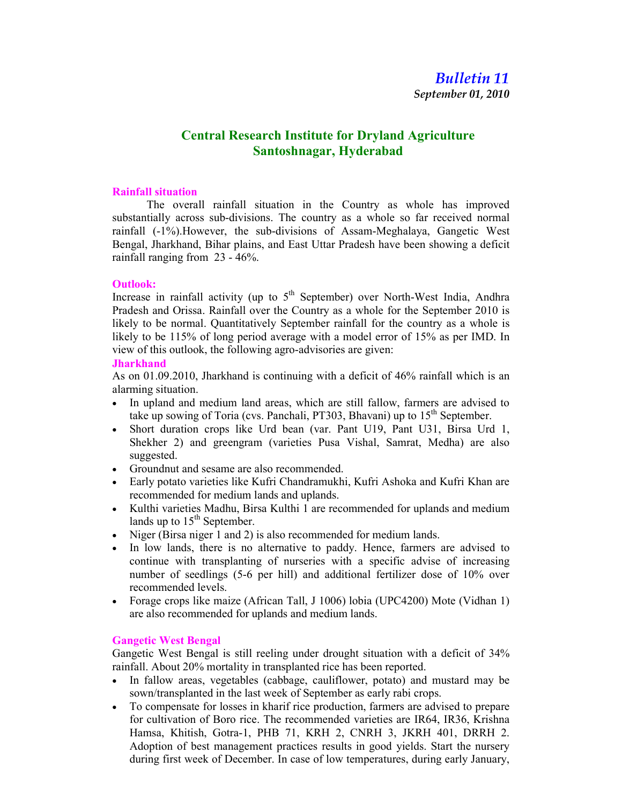# Bulletin 11

September 01, 2010

# Central Research Institute for Dryland Agriculture Santoshnagar, Hyderabad

#### Rainfall situation

The overall rainfall situation in the Country as whole has improved substantially across sub-divisions. The country as a whole so far received normal rainfall (-1%).However, the sub-divisions of Assam-Meghalaya, Gangetic West Bengal, Jharkhand, Bihar plains, and East Uttar Pradesh have been showing a deficit rainfall ranging from 23 - 46%.

## Outlook:

Increase in rainfall activity (up to  $5<sup>th</sup>$  September) over North-West India, Andhra Pradesh and Orissa. Rainfall over the Country as a whole for the September 2010 is likely to be normal. Quantitatively September rainfall for the country as a whole is likely to be 115% of long period average with a model error of 15% as per IMD. In view of this outlook, the following agro-advisories are given:

## **Jharkhand**

As on 01.09.2010, Jharkhand is continuing with a deficit of 46% rainfall which is an alarming situation.

- In upland and medium land areas, which are still fallow, farmers are advised to take up sowing of Toria (cvs. Panchali, PT303, Bhavani) up to  $15<sup>th</sup>$  September.
- Short duration crops like Urd bean (var. Pant U19, Pant U31, Birsa Urd 1, Shekher 2) and greengram (varieties Pusa Vishal, Samrat, Medha) are also suggested.
- Groundnut and sesame are also recommended.
- Early potato varieties like Kufri Chandramukhi, Kufri Ashoka and Kufri Khan are recommended for medium lands and uplands.
- Kulthi varieties Madhu, Birsa Kulthi 1 are recommended for uplands and medium lands up to  $15<sup>th</sup>$  September.
- Niger (Birsa niger 1 and 2) is also recommended for medium lands.
- In low lands, there is no alternative to paddy. Hence, farmers are advised to continue with transplanting of nurseries with a specific advise of increasing number of seedlings (5-6 per hill) and additional fertilizer dose of 10% over recommended levels.
- Forage crops like maize (African Tall, J 1006) lobia (UPC4200) Mote (Vidhan 1) are also recommended for uplands and medium lands.

## Gangetic West Bengal

Gangetic West Bengal is still reeling under drought situation with a deficit of 34% rainfall. About 20% mortality in transplanted rice has been reported.

- In fallow areas, vegetables (cabbage, cauliflower, potato) and mustard may be sown/transplanted in the last week of September as early rabi crops.
- To compensate for losses in kharif rice production, farmers are advised to prepare for cultivation of Boro rice. The recommended varieties are IR64, IR36, Krishna Hamsa, Khitish, Gotra-1, PHB 71, KRH 2, CNRH 3, JKRH 401, DRRH 2. Adoption of best management practices results in good yields. Start the nursery during first week of December. In case of low temperatures, during early January,